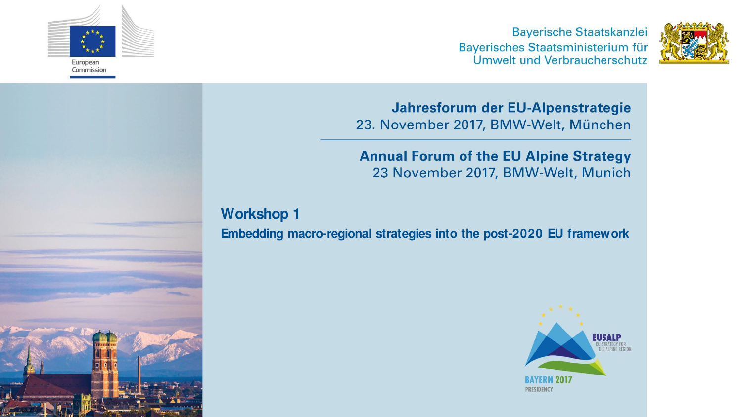

**Bayerische Staatskanzlei** Bayerisches Staatsministerium für Umwelt und Verbraucherschutz



Jahresforum der EU-Alpenstrategie 23. November 2017, BMW-Welt, München

**Annual Forum of the EU Alpine Strategy** 23 November 2017, BMW-Welt, Munich

**Workshop 1** 

**Embedding macro-regional strategies into the post-2020 EU framework** 

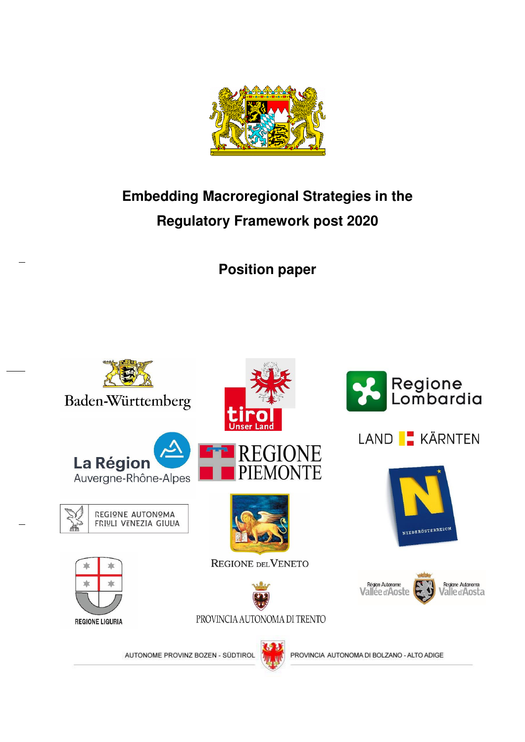

# **Embedding Macroregional Strategies in the Regulatory Framework post 2020**

**Position paper** 

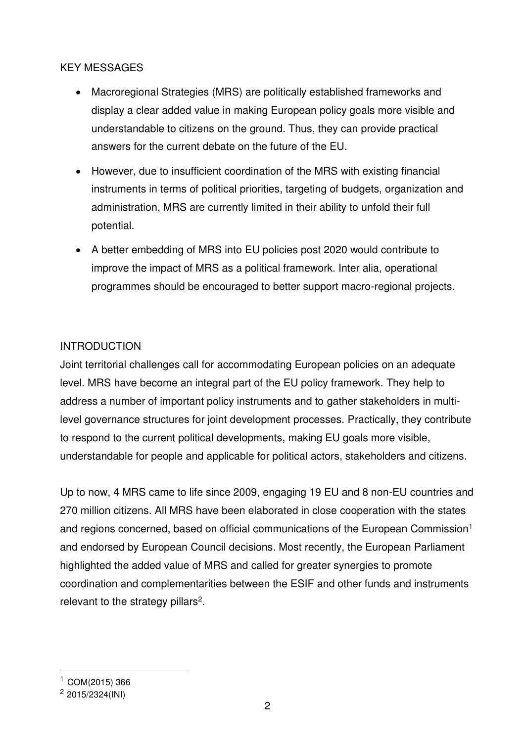### KEY MESSAGES

- Macroregional Strategies (MRS) are politically established frameworks and display a clear added value in making European policy goals more visible and understandable to citizens on the ground. Thus, they can provide practical answers for the current debate on the future of the EU.
- However, due to insufficient coordination of the MRS with existing financial instruments in terms of political priorities, targeting of budgets, organization and administration, MRS are currently limited in their ability to unfold their full potential.
- A better embedding of MRS into EU policies post 2020 would contribute to improve the impact of MRS as a political framework. Inter alia, operational programmes should be encouraged to better support macro-regional projects.

# INTRODUCTION

Joint territorial challenges call for accommodating European policies on an adequate level. MRS have become an integral part of the EU policy framework. They help to address a number of important policy instruments and to gather stakeholders in multilevel governance structures for joint development processes. Practically, they contribute to respond to the current political developments, making EU goals more visible, understandable for people and applicable for political actors, stakeholders and citizens.

Up to now, 4 MRS came to life since 2009, engaging 19 EU and 8 non-EU countries and 270 million citizens. All MRS have been elaborated in close cooperation with the states and regions concerned, based on official communications of the European Commission<sup>1</sup> and endorsed by European Council decisions. Most recently, the European Parliament highlighted the added value of MRS and called for greater synergies to promote coordination and complementarities between the ESIF and other funds and instruments relevant to the strategy pillars<sup>2</sup>.

 $\overline{a}$ 

 $1$  COM(2015) 366

<sup>2</sup> 2015/2324(INI)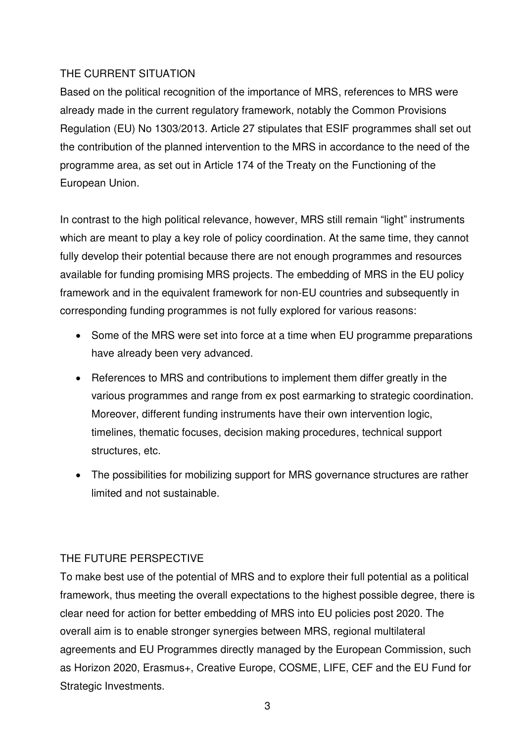## THE CURRENT SITUATION

Based on the political recognition of the importance of MRS, references to MRS were already made in the current regulatory framework, notably the Common Provisions Regulation (EU) No 1303/2013. Article 27 stipulates that ESIF programmes shall set out the contribution of the planned intervention to the MRS in accordance to the need of the programme area, as set out in Article 174 of the Treaty on the Functioning of the European Union.

In contrast to the high political relevance, however, MRS still remain "light" instruments which are meant to play a key role of policy coordination. At the same time, they cannot fully develop their potential because there are not enough programmes and resources available for funding promising MRS projects. The embedding of MRS in the EU policy framework and in the equivalent framework for non-EU countries and subsequently in corresponding funding programmes is not fully explored for various reasons:

- Some of the MRS were set into force at a time when EU programme preparations have already been very advanced.
- References to MRS and contributions to implement them differ greatly in the various programmes and range from ex post earmarking to strategic coordination. Moreover, different funding instruments have their own intervention logic, timelines, thematic focuses, decision making procedures, technical support structures, etc.
- The possibilities for mobilizing support for MRS governance structures are rather limited and not sustainable.

# THE FUTURE PERSPECTIVE

To make best use of the potential of MRS and to explore their full potential as a political framework, thus meeting the overall expectations to the highest possible degree, there is clear need for action for better embedding of MRS into EU policies post 2020. The overall aim is to enable stronger synergies between MRS, regional multilateral agreements and EU Programmes directly managed by the European Commission, such as Horizon 2020, Erasmus+, Creative Europe, COSME, LIFE, CEF and the EU Fund for Strategic Investments.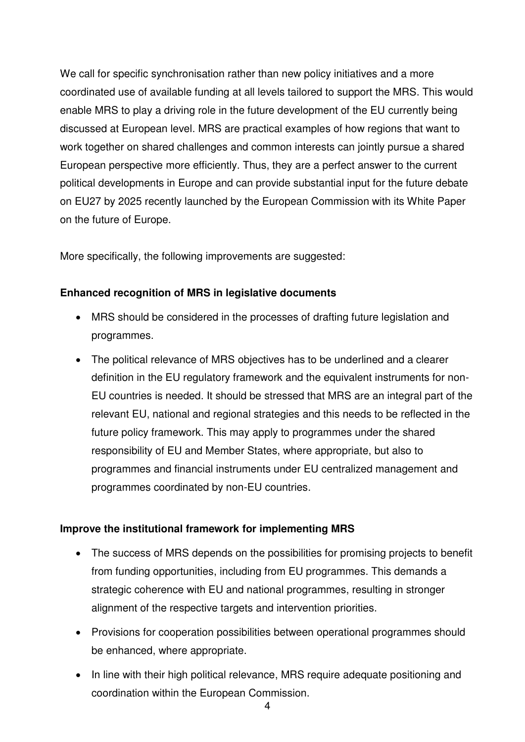We call for specific synchronisation rather than new policy initiatives and a more coordinated use of available funding at all levels tailored to support the MRS. This would enable MRS to play a driving role in the future development of the EU currently being discussed at European level. MRS are practical examples of how regions that want to work together on shared challenges and common interests can jointly pursue a shared European perspective more efficiently. Thus, they are a perfect answer to the current political developments in Europe and can provide substantial input for the future debate on EU27 by 2025 recently launched by the European Commission with its White Paper on the future of Europe.

More specifically, the following improvements are suggested:

### **Enhanced recognition of MRS in legislative documents**

- MRS should be considered in the processes of drafting future legislation and programmes.
- The political relevance of MRS objectives has to be underlined and a clearer definition in the EU regulatory framework and the equivalent instruments for non-EU countries is needed. It should be stressed that MRS are an integral part of the relevant EU, national and regional strategies and this needs to be reflected in the future policy framework. This may apply to programmes under the shared responsibility of EU and Member States, where appropriate, but also to programmes and financial instruments under EU centralized management and programmes coordinated by non-EU countries.

#### **Improve the institutional framework for implementing MRS**

- The success of MRS depends on the possibilities for promising projects to benefit from funding opportunities, including from EU programmes. This demands a strategic coherence with EU and national programmes, resulting in stronger alignment of the respective targets and intervention priorities.
- Provisions for cooperation possibilities between operational programmes should be enhanced, where appropriate.
- In line with their high political relevance, MRS require adequate positioning and coordination within the European Commission.